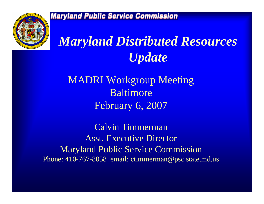

# *Maryland Distributed Resources Update*

MADRI Workgroup Meeting BaltimoreFebruary 6, 2007

Calvin Timmerman Asst. Executive Director Maryland Public Service Commission Phone: 410-767-8058 email: ctimmerman@psc.state.md.us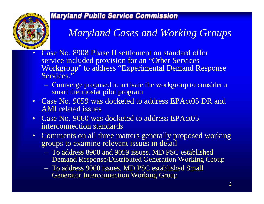

### *Maryland Cases and Working Groups*

- • Case No. 8908 Phase II settlement on standard offer service included provision for an "Other Services Workgroup" to address "Experimental Demand Response Services."
	- $\mathcal{L}_{\mathcal{A}}$  Comverge proposed to activate the workgroup to consider a smart thermostat pilot program
- Case No. 9059 was docketed to address EPAct05 DR and AMI related issues
- Case No. 9060 was docketed to address EPAct05 interconnection standards
- Comments on all three matters generally proposed working groups to examine relevant issues in detail
	- To address 8908 and 9059 issues, MD PSC established Demand Res ponse/Distributed Generation Working Group
	- To address 9060 issues, MD PSC established Small Generator Interconnection W orking Group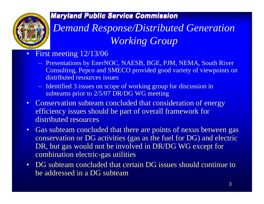

## *Demand Response/Distributed Generation Working Group*

#### •First meeting 12/13/06

- Present ations by EnerNOC, NAESB, BGE, PJM, NEMA, South River Consulting, Pepco and SMECO provided good variety of viewpoints on distributed resources issues
- Identifi ed 3 issues on scope of working group for discussion in subteams prior to 2/5/07 DR/DG WG meeting
- Conservation subteam concluded that consideration of energy efficiency issues should be part of overall framework for distributed resources
- Gas subteam concluded that there are points of nexus between gas conservation or DG activities (gas as the fuel for DG) and electric DR, but gas would not be involved in DR/DG WG except for combination electric-gas utilities
- DG subteam concluded that certain DG issues should continue to be addressed in a DG subteam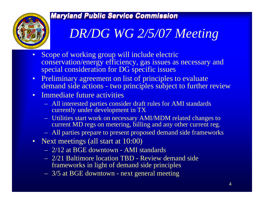

# *DR/DG WG 2/5/07 Meeting*

- •Scope of working group will include electric conservation/energy efficiency, gas issues as necessary and special consideration for DG specific issues
- $\bullet$  Preliminary agreement on list of principles to evaluate demand side actions - two principles subject to further review

### • Immediate future activities

- All interested parties consider draft rules for AMI standards currently under development in TX
- Utilities start work on necessary AMI/MDM related changes to current MD regs on metering, billing and any other current reg.
- All parties prepare to present proposed demand side frameworks
- Next meetings (all start at 10:00)
	- 2/12 at BGE downtown AMI standards
	- 2/21 Baltimore location TBD Review demand side frameworks in light of demand side principles
	- 3/5 at BGE downtown next general meeting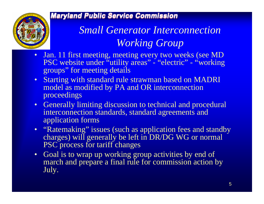

*Small Generator Interconnection Working Group*

- • Jan. 11 first meeting, meeting every two weeks (see MD PSC website under "utility areas" - "electric" - "working groups" for meeting details
- Starting with standard rule strawman based on MADRI model as modified by PA and OR interconnection proceedings
- Generally limiting discussion to technical and procedural interconnection standards, standard agreements and application forms
- "Ratemaking" issues (such as application fees and standby charges) will generally be left in DR/DG WG or normal PSC process for tariff changes
- Goal is to wrap up working group activities by end of march and prepare a final rule for commission action by July.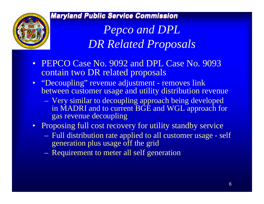

*Pepco and DPL DR Related Proposals*

- PEPCO Case No. 9092 and DPL Case No. 9093 contain two DR related proposals
- "Decoupling" revenue adjustment removes link between customer usage and utility distribution revenue
	- Very similar to decoupling approach being developed in MADRI and to current BGE and WGL approach for gas revenue decoupling
- Proposing full cost recovery for utility standby service
	- Full distribution rate applied to all customer usage self generation plus usage off the grid
	- Requirement to meter all self generation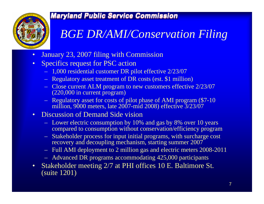

## *BGE DR/AMI/Conservation Filing*

- •January 23, 2007 filing with Commission
- • Specifics request for PSC action
	- 1,000 res idential customer DR pilot effective 2/23/07
	- Regulatory asset treatment of DR costs (est. \$1 million)
	- Close current ALM program to new customers effective 2/23/07 (220,000 in current program)
	- R egulatory ass et for costs of pilot phas e of AMI program (\$7-10 million, 9000 meters, late 2007-mid 2008) effective 3/23/07

#### $\bullet$ Discussion of Demand Side vision

- Lower electric consumption by 10% and gas by 8% over 10 years compared to consumption without conservation/efficiency program
- Stakeholder process for input initial programs, with surcharge cost recovery and decoupling mechanism, starting summer 2007
- Full AMI deployment to 2 million gas and electric meters 2008-2011
- Advanced DR programs accommodating 425,000 participants
- $\bullet$  Stakeholder meeting 2/7 at PHI offices 10 E. Baltimore St. (suite 1201)